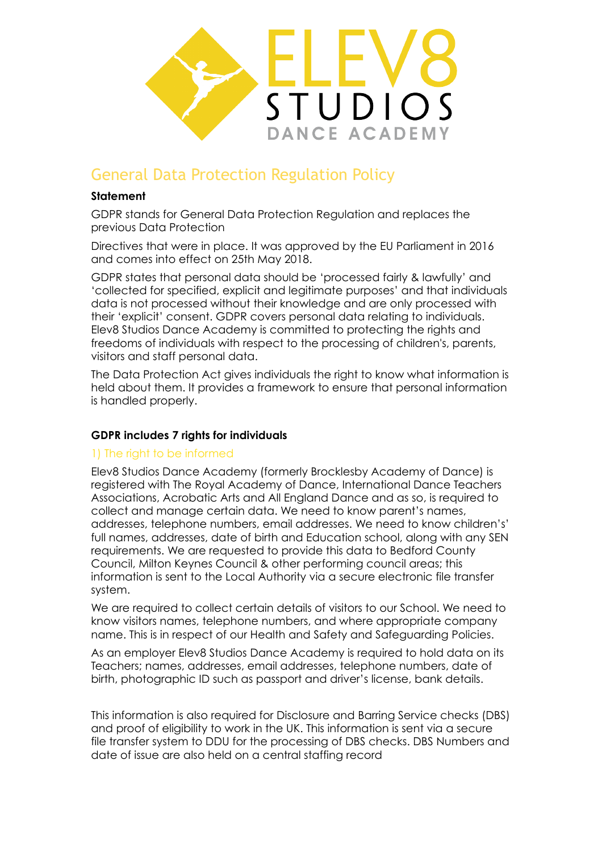

# General Data Protection Regulation Policy

### **Statement**

GDPR stands for General Data Protection Regulation and replaces the previous Data Protection

Directives that were in place. It was approved by the EU Parliament in 2016 and comes into effect on 25th May 2018.

GDPR states that personal data should be 'processed fairly & lawfully' and 'collected for specified, explicit and legitimate purposes' and that individuals data is not processed without their knowledge and are only processed with their 'explicit' consent. GDPR covers personal data relating to individuals. Elev8 Studios Dance Academy is committed to protecting the rights and freedoms of individuals with respect to the processing of children's, parents, visitors and staff personal data.

The Data Protection Act gives individuals the right to know what information is held about them. It provides a framework to ensure that personal information is handled properly.

# **GDPR includes 7 rights for individuals**

#### 1) The right to be informed

Elev8 Studios Dance Academy (formerly Brocklesby Academy of Dance) is registered with The Royal Academy of Dance, International Dance Teachers Associations, Acrobatic Arts and All England Dance and as so, is required to collect and manage certain data. We need to know parent's names, addresses, telephone numbers, email addresses. We need to know children's' full names, addresses, date of birth and Education school, along with any SEN requirements. We are requested to provide this data to Bedford County Council, Milton Keynes Council & other performing council areas; this information is sent to the Local Authority via a secure electronic file transfer system.

We are required to collect certain details of visitors to our School. We need to know visitors names, telephone numbers, and where appropriate company name. This is in respect of our Health and Safety and Safeguarding Policies.

As an employer Elev8 Studios Dance Academy is required to hold data on its Teachers; names, addresses, email addresses, telephone numbers, date of birth, photographic ID such as passport and driver's license, bank details.

This information is also required for Disclosure and Barring Service checks (DBS) and proof of eligibility to work in the UK. This information is sent via a secure file transfer system to DDU for the processing of DBS checks. DBS Numbers and date of issue are also held on a central staffing record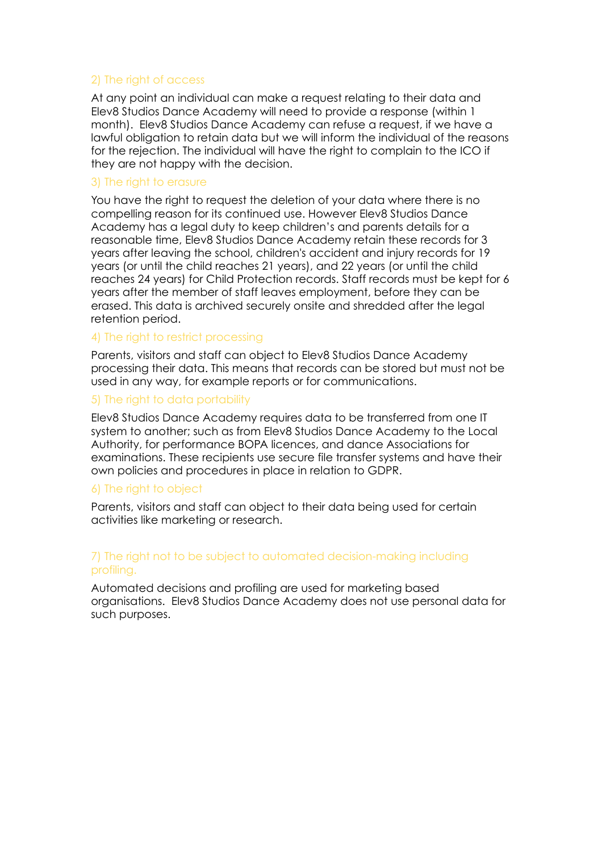# 2) The right of access

At any point an individual can make a request relating to their data and Elev8 Studios Dance Academy will need to provide a response (within 1 month). Elev8 Studios Dance Academy can refuse a request, if we have a lawful obligation to retain data but we will inform the individual of the reasons for the rejection. The individual will have the right to complain to the ICO if they are not happy with the decision.

#### 3) The right to erasure

You have the right to request the deletion of your data where there is no compelling reason for its continued use. However Elev8 Studios Dance Academy has a legal duty to keep children's and parents details for a reasonable time, Elev8 Studios Dance Academy retain these records for 3 years after leaving the school, children's accident and injury records for 19 years (or until the child reaches 21 years), and 22 years (or until the child reaches 24 years) for Child Protection records. Staff records must be kept for 6 years after the member of staff leaves employment, before they can be erased. This data is archived securely onsite and shredded after the legal retention period.

#### 4) The right to restrict processing

Parents, visitors and staff can object to Elev8 Studios Dance Academy processing their data. This means that records can be stored but must not be used in any way, for example reports or for communications.

#### 5) The right to data portability

Elev8 Studios Dance Academy requires data to be transferred from one IT system to another; such as from Elev8 Studios Dance Academy to the Local Authority, for performance BOPA licences, and dance Associations for examinations. These recipients use secure file transfer systems and have their own policies and procedures in place in relation to GDPR.

#### 6) The right to object

Parents, visitors and staff can object to their data being used for certain activities like marketing or research.

#### 7) The right not to be subject to automated decision-making including profiling.

Automated decisions and profiling are used for marketing based organisations. Elev8 Studios Dance Academy does not use personal data for such purposes.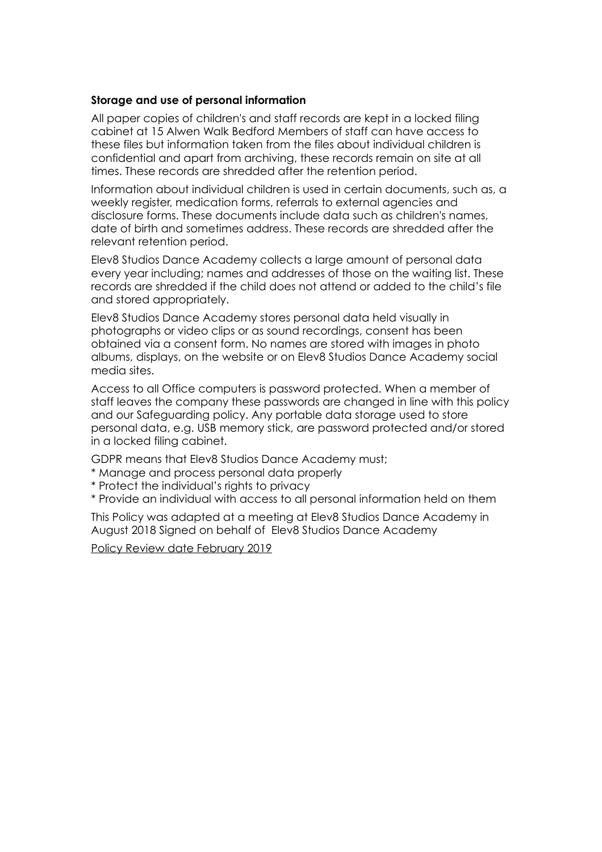#### **Storage and use of personal information**

All paper copies of children's and staff records are kept in a locked filing cabinet at 15 Alwen Walk Bedford Members of staff can have access to these files but information taken from the files about individual children is confidential and apart from archiving, these records remain on site at all times. These records are shredded after the retention period.

Information about individual children is used in certain documents, such as, a weekly register, medication forms, referrals to external agencies and disclosure forms. These documents include data such as children's names, date of birth and sometimes address. These records are shredded after the relevant retention period.

Elev8 Studios Dance Academy collects a large amount of personal data every year including; names and addresses of those on the waiting list. These records are shredded if the child does not attend or added to the child's file and stored appropriately.

Elev8 Studios Dance Academy stores personal data held visually in photographs or video clips or as sound recordings, consent has been obtained via a consent form. No names are stored with images in photo albums, displays, on the website or on Elev8 Studios Dance Academy social media sites.

Access to all Office computers is password protected. When a member of staff leaves the company these passwords are changed in line with this policy and our Safeguarding policy. Any portable data storage used to store personal data, e.g. USB memory stick, are password protected and/or stored in a locked filing cabinet.

GDPR means that Elev8 Studios Dance Academy must;

- \* Manage and process personal data properly
- \* Protect the individual's rights to privacy
- \* Provide an individual with access to all personal information held on them

This Policy was adapted at a meeting at Elev8 Studios Dance Academy in August 2018 Signed on behalf of Elev8 Studios Dance Academy

Policy Review date February 2019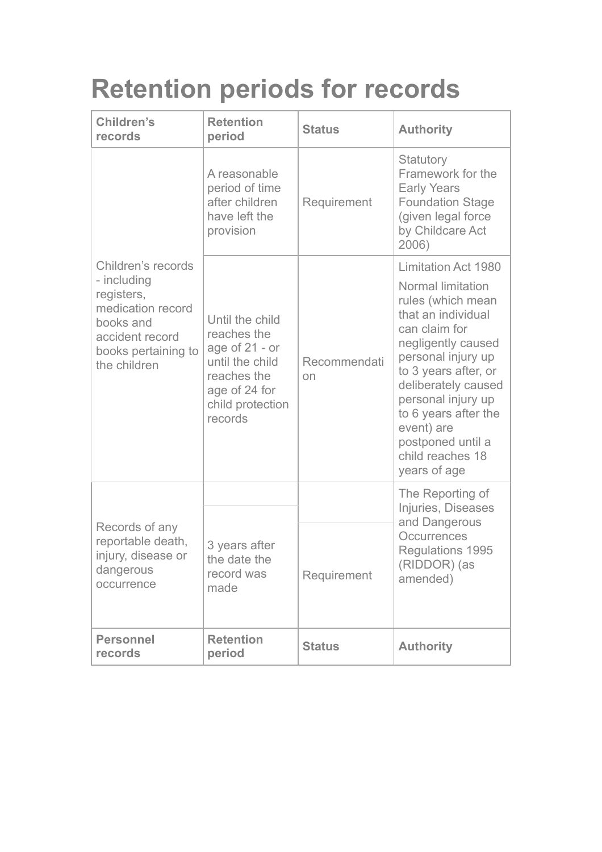# **Retention periods for records**

| <b>Children's</b><br>records                                                                                                                | <b>Retention</b><br>period                                                                                                           | <b>Status</b>      | <b>Authority</b>                                                                                                                                                                                                                                                                                                            |
|---------------------------------------------------------------------------------------------------------------------------------------------|--------------------------------------------------------------------------------------------------------------------------------------|--------------------|-----------------------------------------------------------------------------------------------------------------------------------------------------------------------------------------------------------------------------------------------------------------------------------------------------------------------------|
|                                                                                                                                             | A reasonable<br>period of time<br>after children<br>have left the<br>provision                                                       | Requirement        | Statutory<br>Framework for the<br><b>Early Years</b><br><b>Foundation Stage</b><br>(given legal force<br>by Childcare Act<br>2006)                                                                                                                                                                                          |
| Children's records<br>- including<br>registers,<br>medication record<br>books and<br>accident record<br>books pertaining to<br>the children | Until the child<br>reaches the<br>age of $21 - or$<br>until the child<br>reaches the<br>age of 24 for<br>child protection<br>records | Recommendati<br>on | <b>Limitation Act 1980</b><br>Normal limitation<br>rules (which mean<br>that an individual<br>can claim for<br>negligently caused<br>personal injury up<br>to 3 years after, or<br>deliberately caused<br>personal injury up<br>to 6 years after the<br>event) are<br>postponed until a<br>child reaches 18<br>years of age |
| Records of any<br>reportable death,<br>injury, disease or<br>dangerous<br>occurrence                                                        | 3 years after<br>the date the<br>record was<br>made                                                                                  | Requirement        | The Reporting of<br>Injuries, Diseases<br>and Dangerous<br>Occurrences<br>Regulations 1995<br>(RIDDOR) (as<br>amended)                                                                                                                                                                                                      |
| <b>Personnel</b><br>records                                                                                                                 | <b>Retention</b><br>period                                                                                                           | <b>Status</b>      | <b>Authority</b>                                                                                                                                                                                                                                                                                                            |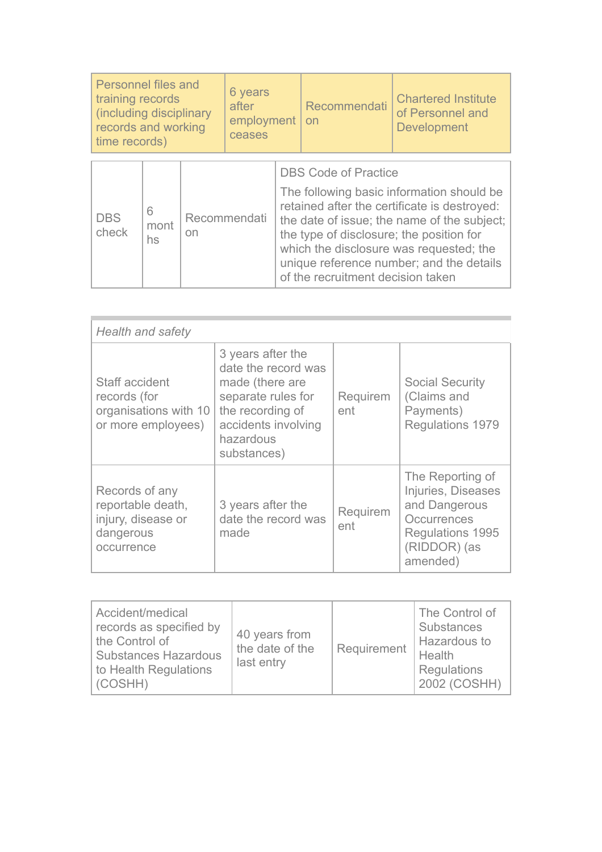| <b>Personnel files and</b><br>training records<br>(including disciplinary<br>records and working<br>time records) |                 |                    | 6 years<br>after<br>employment<br>ceases |                                                                                                                                                                                                                                                                                                                                                 | Recommendati<br>on | <b>Chartered Institute</b><br>of Personnel and<br><b>Development</b> |
|-------------------------------------------------------------------------------------------------------------------|-----------------|--------------------|------------------------------------------|-------------------------------------------------------------------------------------------------------------------------------------------------------------------------------------------------------------------------------------------------------------------------------------------------------------------------------------------------|--------------------|----------------------------------------------------------------------|
|                                                                                                                   |                 |                    |                                          |                                                                                                                                                                                                                                                                                                                                                 |                    |                                                                      |
| <b>DBS</b><br>check                                                                                               | 6<br>mont<br>hs | Recommendati<br>on |                                          | <b>DBS Code of Practice</b><br>The following basic information should be<br>retained after the certificate is destroyed:<br>the date of issue; the name of the subject;<br>the type of disclosure; the position for<br>which the disclosure was requested; the<br>unique reference number; and the details<br>of the recruitment decision taken |                    |                                                                      |

| <b>Health and safety</b>                                                             |                                                                                                                                                          |                 |                                                                                                                        |  |
|--------------------------------------------------------------------------------------|----------------------------------------------------------------------------------------------------------------------------------------------------------|-----------------|------------------------------------------------------------------------------------------------------------------------|--|
| Staff accident<br>records (for<br>organisations with 10<br>or more employees)        | 3 years after the<br>date the record was<br>made (there are<br>separate rules for<br>the recording of<br>accidents involving<br>hazardous<br>substances) | Requirem<br>ent | <b>Social Security</b><br>(Claims and<br>Payments)<br>Regulations 1979                                                 |  |
| Records of any<br>reportable death,<br>injury, disease or<br>dangerous<br>occurrence | 3 years after the<br>date the record was<br>made                                                                                                         | Requirem<br>ent | The Reporting of<br>Injuries, Diseases<br>and Dangerous<br>Occurrences<br>Regulations 1995<br>(RIDDOR) (as<br>amended) |  |

| Accident/medical<br>records as specified by<br>the Control of<br><b>Substances Hazardous</b><br>to Health Regulations<br>(COSHH) | 40 years from<br>the date of the<br>last entry | Requirement | The Control of<br>Substances<br>Hazardous to<br>Health<br>Regulations<br>2002 (COSHH) |
|----------------------------------------------------------------------------------------------------------------------------------|------------------------------------------------|-------------|---------------------------------------------------------------------------------------|